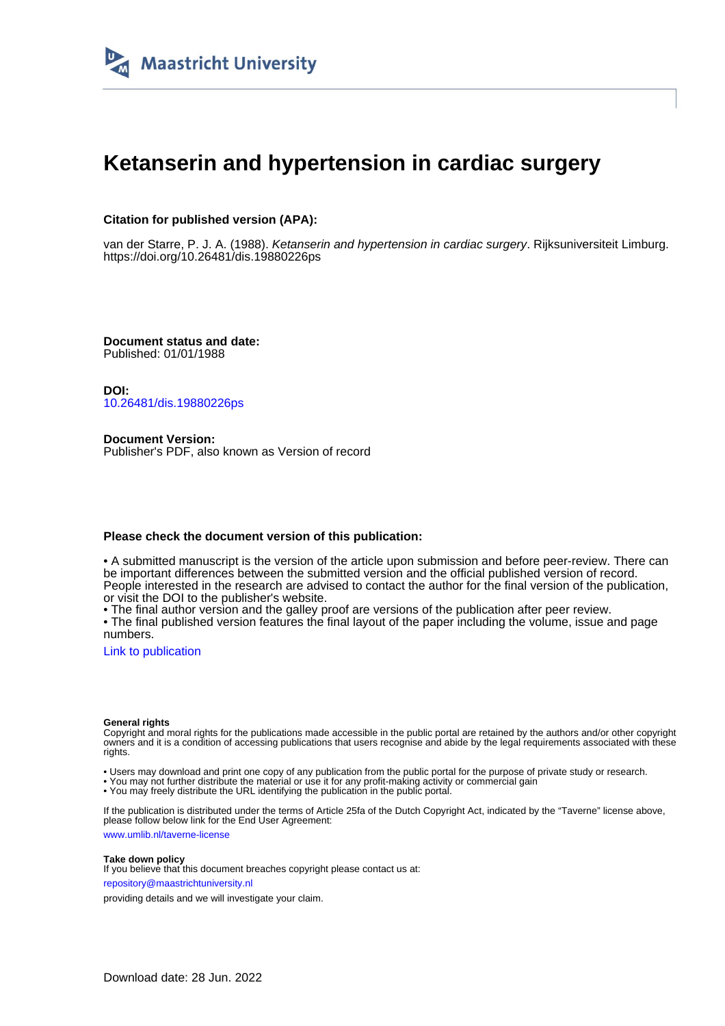

## **Ketanserin and hypertension in cardiac surgery**

### **Citation for published version (APA):**

van der Starre, P. J. A. (1988). Ketanserin and hypertension in cardiac surgery. Rijksuniversiteit Limburg. <https://doi.org/10.26481/dis.19880226ps>

**Document status and date:** Published: 01/01/1988

**DOI:** [10.26481/dis.19880226ps](https://doi.org/10.26481/dis.19880226ps)

**Document Version:** Publisher's PDF, also known as Version of record

#### **Please check the document version of this publication:**

• A submitted manuscript is the version of the article upon submission and before peer-review. There can be important differences between the submitted version and the official published version of record. People interested in the research are advised to contact the author for the final version of the publication, or visit the DOI to the publisher's website.

• The final author version and the galley proof are versions of the publication after peer review.

• The final published version features the final layout of the paper including the volume, issue and page numbers.

[Link to publication](https://cris.maastrichtuniversity.nl/en/publications/baeecf37-00ef-49d5-8ae6-0d5d324354c1)

#### **General rights**

Copyright and moral rights for the publications made accessible in the public portal are retained by the authors and/or other copyright owners and it is a condition of accessing publications that users recognise and abide by the legal requirements associated with these rights.

• Users may download and print one copy of any publication from the public portal for the purpose of private study or research.

• You may not further distribute the material or use it for any profit-making activity or commercial gain

• You may freely distribute the URL identifying the publication in the public portal.

If the publication is distributed under the terms of Article 25fa of the Dutch Copyright Act, indicated by the "Taverne" license above, please follow below link for the End User Agreement:

www.umlib.nl/taverne-license

#### **Take down policy**

If you believe that this document breaches copyright please contact us at: repository@maastrichtuniversity.nl

providing details and we will investigate your claim.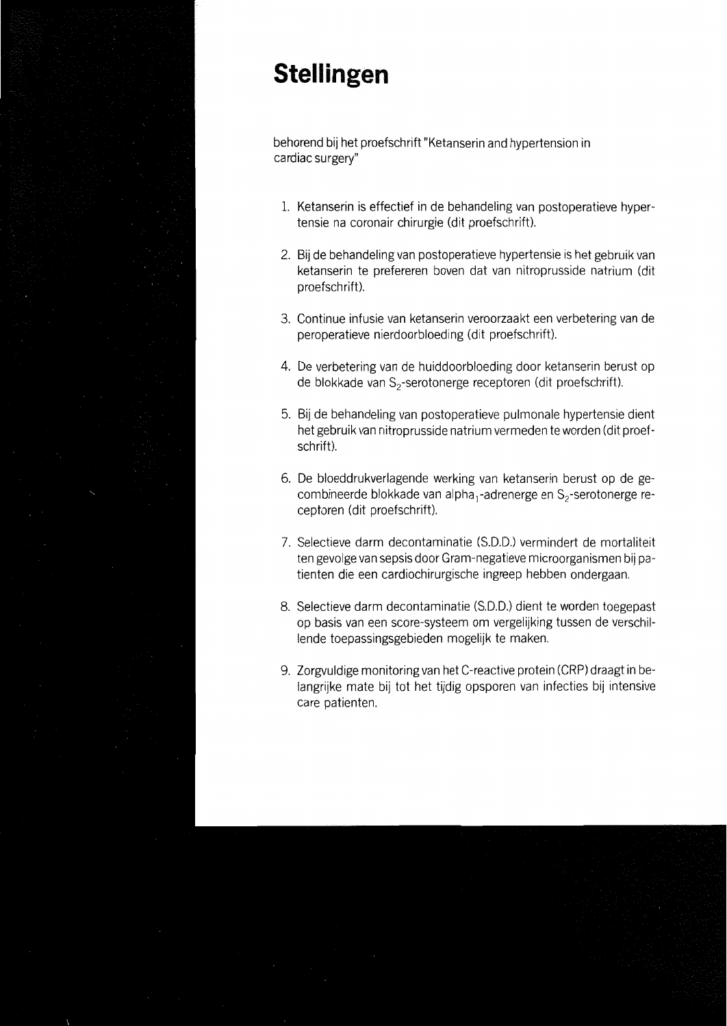# **Stellingen**

behorend bij het proefschrift "Ketanserin and hypertension in cardiac surgery"

- 1. Ketanserin is effectief in de behandeling van postoperatieve hypertensie na coronair chirurgie (dit proefschrift).
- 2. Bij de behandeling van postoperatieve hypertensie is het gebruik van ketanserin te prefereren boven dat van nitroprusside natrium (dit proefschrift).
- 3. Continue infusie van ketanserin veroorzaakt een verbetering van de peroperatieve nierdoorbloeding (dit proefschrift).
- 4. De verbetering van de huiddoorbloeding door ketanserin berust op de blokkade van S<sub>2</sub>-serotonerge receptoren (dit proefschrift).
- 5. Bij de behandeling van postoperatieve pulmonale hypertensie dient het gebruik van nitroprusside natrium vermeden te worden (dit proefschrift).
- 6. De bloeddrukverlagende werking van ketanserin berust op de gecombineerde blokkade van alpha<sub>1</sub>-adrenerge en S<sub>2</sub>-serotonerge receptoren (dit proefschrift).
- 7. Selectieve darm decontaminatie (S.D.D.) vermindert de mortaliteit ten gevolge van sepsis door Gram-negatieve microorganismen bij patienten die een cardiochirurgische ingreep hebben ondergaan.
- 8. Selectieve darm decontaminatie (S.D.D.) dient te worden toegepast op basis van een score-systeem om vergelijking tussen de verschillende toepassingsgebieden mogelijk te maken.
- 9. Zorgyuldige monitoring van het C-reactive protein (CRP) draagt in belangrijke mate bij tot het tijdig opsporen van infecties bij intensive care patienten.